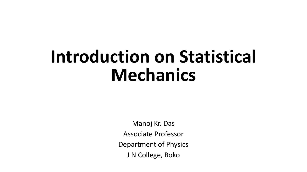## **Introduction on Statistical Mechanics**

Manoj Kr. Das Associate Professor Department of Physics J N College, Boko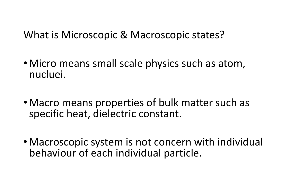What is Microscopic & Macroscopic states?

- Micro means small scale physics such as atom, nucluei.
- Macro means properties of bulk matter such as specific heat, dielectric constant.
- Macroscopic system is not concern with individual behaviour of each individual particle.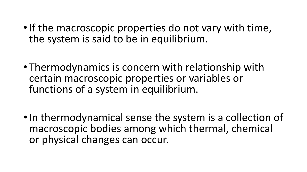- If the macroscopic properties do not vary with time, the system is said to be in equilibrium.
- Thermodynamics is concern with relationship with certain macroscopic properties or variables or functions of a system in equilibrium.
- In thermodynamical sense the system is a collection of macroscopic bodies among which thermal, chemical or physical changes can occur.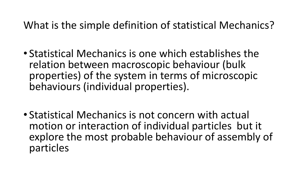## What is the simple definition of statistical Mechanics?

- Statistical Mechanics is one which establishes the relation between macroscopic behaviour (bulk properties) of the system in terms of microscopic behaviours (individual properties).
- Statistical Mechanics is not concern with actual motion or interaction of individual particles but it explore the most probable behaviour of assembly of particles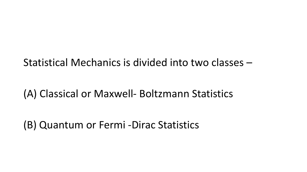Statistical Mechanics is divided into two classes –

(A) Classical or Maxwell- Boltzmann Statistics

(B) Quantum or Fermi -Dirac Statistics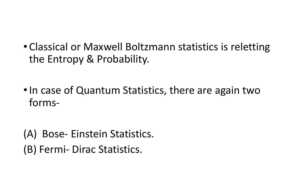• Classical or Maxwell Boltzmann statistics is reletting the Entropy & Probability.

• In case of Quantum Statistics, there are again two forms-

(A) Bose- Einstein Statistics. (B) Fermi- Dirac Statistics.